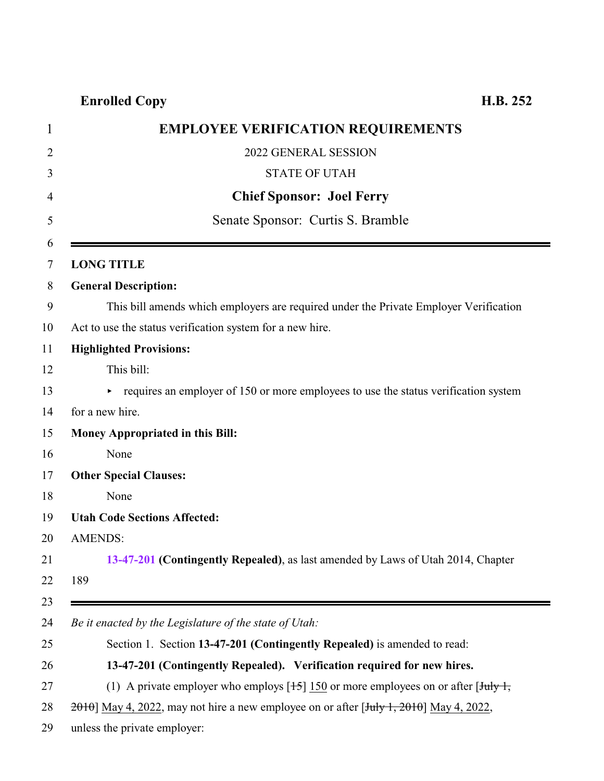## **Enrolled Copy H.B. 252**

<span id="page-0-0"></span>

| <b>EMPLOYEE VERIFICATION REQUIREMENTS</b>                                                            |
|------------------------------------------------------------------------------------------------------|
| 2022 GENERAL SESSION                                                                                 |
| <b>STATE OF UTAH</b>                                                                                 |
| <b>Chief Sponsor: Joel Ferry</b>                                                                     |
| Senate Sponsor: Curtis S. Bramble                                                                    |
| <b>LONG TITLE</b>                                                                                    |
| <b>General Description:</b>                                                                          |
| This bill amends which employers are required under the Private Employer Verification                |
| Act to use the status verification system for a new hire.                                            |
| <b>Highlighted Provisions:</b>                                                                       |
| This bill:                                                                                           |
| $\triangleright$ requires an employer of 150 or more employees to use the status verification system |
| for a new hire.                                                                                      |
| Money Appropriated in this Bill:                                                                     |
| None                                                                                                 |
| <b>Other Special Clauses:</b>                                                                        |
| None                                                                                                 |
| <b>Utah Code Sections Affected:</b>                                                                  |
| <b>AMENDS:</b>                                                                                       |
| 13-47-201 (Contingently Repealed), as last amended by Laws of Utah 2014, Chapter                     |
| 189                                                                                                  |
|                                                                                                      |
| Be it enacted by the Legislature of the state of Utah:                                               |
| Section 1. Section 13-47-201 (Contingently Repealed) is amended to read:                             |
| 13-47-201 (Contingently Repealed). Verification required for new hires.                              |
| (1) A private employer who employs $[15]$ 150 or more employees on or after $\overline{[July 1]}$ ,  |
| $2010$ ] May 4, 2022, may not hire a new employee on or after [July 1, 2010] May 4, 2022,            |
| unless the private employer:                                                                         |